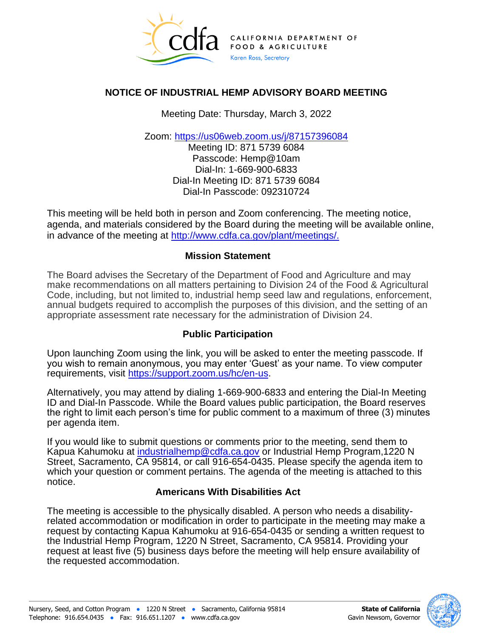

# **NOTICE OF INDUSTRIAL HEMP ADVISORY BOARD MEETING**

Meeting Date: Thursday, March 3, 2022

Zoom:<https://us06web.zoom.us/j/87157396084>

Meeting ID: 871 5739 6084 Passcode: Hemp@10am Dial-In: 1-669-900-6833 Dial-In Meeting ID: 871 5739 6084 Dial-In Passcode: 092310724

This meeting will be held both in person and Zoom conferencing. The meeting notice, agenda, and materials considered by the Board during the meeting will be available online, in advance of the meeting at [http://www.cdfa.ca.gov/plant/meetings/.](http://www.cdfa.ca.gov/plant/meetings/)

### **Mission Statement**

The Board advises the Secretary of the Department of Food and Agriculture and may make recommendations on all matters pertaining to Division 24 of the Food & Agricultural Code, including, but not limited to, industrial hemp seed law and regulations, enforcement, annual budgets required to accomplish the purposes of this division, and the setting of an appropriate assessment rate necessary for the administration of Division 24.

## **Public Participation**

Upon launching Zoom using the link, you will be asked to enter the meeting passcode. If you wish to remain anonymous, you may enter 'Guest' as your name. To view computer requirements, visit [https://support.zoom.us/hc/en-us.](https://support.zoom.us/hc/en-us)

Alternatively, you may attend by dialing 1-669-900-6833 and entering the Dial-In Meeting ID and Dial-In Passcode. While the Board values public participation, the Board reserves the right to limit each person's time for public comment to a maximum of three (3) minutes per agenda item.

If you would like to submit questions or comments prior to the meeting, send them to Kapua Kahumoku at [industrialhemp@cdfa.ca.gov](mailto:industrialhemp@cdfa.ca.gov) or Industrial Hemp Program,1220 N Street, Sacramento, CA 95814, or call 916-654-0435. Please specify the agenda item to which your question or comment pertains. The agenda of the meeting is attached to this notice.

#### **Americans With Disabilities Act**

The meeting is accessible to the physically disabled. A person who needs a disabilityrelated accommodation or modification in order to participate in the meeting may make a request by contacting Kapua Kahumoku at 916-654-0435 or sending a written request to the Industrial Hemp Program, 1220 N Street, Sacramento, CA 95814. Providing your request at least five (5) business days before the meeting will help ensure availability of the requested accommodation.

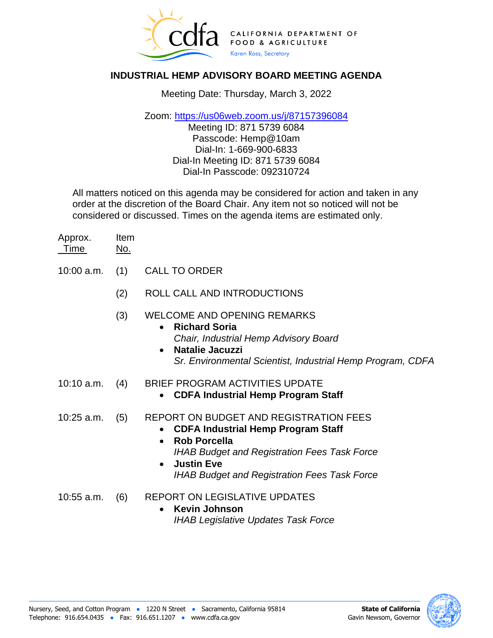

## **INDUSTRIAL HEMP ADVISORY BOARD MEETING AGENDA**

Meeting Date: Thursday, March 3, 2022

Zoom:<https://us06web.zoom.us/j/87157396084>

Meeting ID: 871 5739 6084 Passcode: Hemp@10am Dial-In: 1-669-900-6833 Dial-In Meeting ID: 871 5739 6084 Dial-In Passcode: 092310724

All matters noticed on this agenda may be considered for action and taken in any order at the discretion of the Board Chair. Any item not so noticed will not be considered or discussed. Times on the agenda items are estimated only.

| Approx. | Item |
|---------|------|
| Time    | No.  |

- 10:00 a.m. (1) CALL TO ORDER
	- (2) ROLL CALL AND INTRODUCTIONS
	- (3) WELCOME AND OPENING REMARKS
		- **Richard Soria** *Chair, Industrial Hemp Advisory Board*
		- **Natalie Jacuzzi** *Sr. Environmental Scientist, Industrial Hemp Program, CDFA*
- 10:10 a.m. (4) BRIEF PROGRAM ACTIVITIES UPDATE
	- **CDFA Industrial Hemp Program Staff**
- 10:25 a.m. (5) REPORT ON BUDGET AND REGISTRATION FEES
	- **CDFA Industrial Hemp Program Staff**
	- **Rob Porcella** *IHAB Budget and Registration Fees Task Force*
	- **Justin Eve** *IHAB Budget and Registration Fees Task Force*
- 10:55 a.m. (6) REPORT ON LEGISLATIVE UPDATES
	- **Kevin Johnson** *IHAB Legislative Updates Task Force*



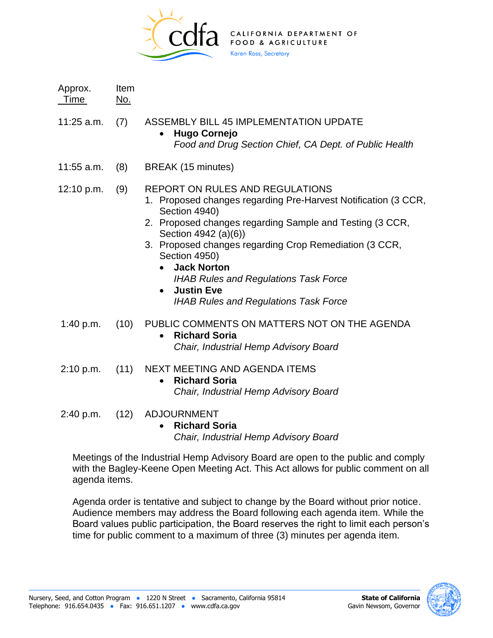

| Approx.<br>Time | Item<br><u>No.</u> |                                                                                                                                                                                                                                                                                                                                                                                                                                     |
|-----------------|--------------------|-------------------------------------------------------------------------------------------------------------------------------------------------------------------------------------------------------------------------------------------------------------------------------------------------------------------------------------------------------------------------------------------------------------------------------------|
| 11:25 a.m.      | (7)                | <b>ASSEMBLY BILL 45 IMPLEMENTATION UPDATE</b><br><b>Hugo Cornejo</b><br>Food and Drug Section Chief, CA Dept. of Public Health                                                                                                                                                                                                                                                                                                      |
| 11:55 a.m.      | (8)                | BREAK (15 minutes)                                                                                                                                                                                                                                                                                                                                                                                                                  |
| 12:10 p.m.      | (9)                | <b>REPORT ON RULES AND REGULATIONS</b><br>1. Proposed changes regarding Pre-Harvest Notification (3 CCR,<br>Section 4940)<br>2. Proposed changes regarding Sample and Testing (3 CCR,<br>Section 4942 (a)(6))<br>3. Proposed changes regarding Crop Remediation (3 CCR,<br>Section 4950)<br><b>Jack Norton</b><br><b>IHAB Rules and Regulations Task Force</b><br><b>Justin Eve</b><br><b>IHAB Rules and Regulations Task Force</b> |
| 1:40 p.m.       | (10)               | PUBLIC COMMENTS ON MATTERS NOT ON THE AGENDA<br><b>Richard Soria</b><br>$\bullet$<br>Chair, Industrial Hemp Advisory Board                                                                                                                                                                                                                                                                                                          |
| 2:10 p.m.       | (11)               | NEXT MEETING AND AGENDA ITEMS<br><b>Richard Soria</b><br>$\bullet$<br>Chair, Industrial Hemp Advisory Board                                                                                                                                                                                                                                                                                                                         |
| 2:40 p.m.       | (12)               | <b>ADJOURNMENT</b><br><b>Richard Soria</b><br>$\bullet$                                                                                                                                                                                                                                                                                                                                                                             |

*Chair, Industrial Hemp Advisory Board*

Meetings of the Industrial Hemp Advisory Board are open to the public and comply with the Bagley-Keene Open Meeting Act. This Act allows for public comment on all agenda items.

Agenda order is tentative and subject to change by the Board without prior notice. Audience members may address the Board following each agenda item. While the Board values public participation, the Board reserves the right to limit each person's time for public comment to a maximum of three (3) minutes per agenda item.